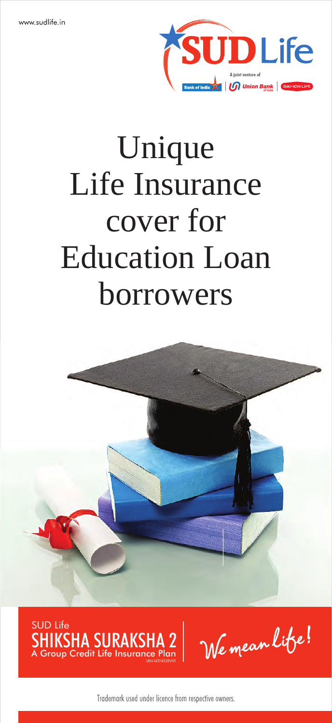

# Unique Life Insurance cover for Education Loan borrowers





We mean litse!

Trademark used under licence from respective owners.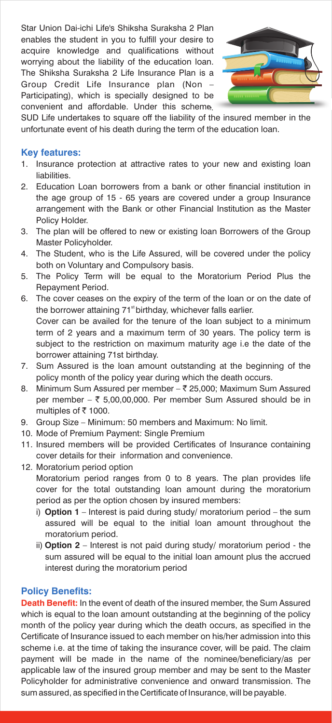Star Union Dai-ichi Life's Shiksha Suraksha 2 Plan enables the student in you to fulfill your desire to acquire knowledge and qualifications without worrying about the liability of the education loan. The Shiksha Suraksha 2 Life Insurance Plan is a Group Credit Life Insurance plan (Non – Participating), which is specially designed to be convenient and affordable. Under this scheme,



SUD Life undertakes to square off the liability of the insured member in the unfortunate event of his death during the term of the education loan.

#### **Key features:**

- 1. Insurance protection at attractive rates to your new and existing loan liabilities.
- 2. Education Loan borrowers from a bank or other financial institution in the age group of 15 - 65 years are covered under a group Insurance arrangement with the Bank or other Financial Institution as the Master Policy Holder.
- 3. The plan will be offered to new or existing loan Borrowers of the Group Master Policyholder.
- 4. The Student, who is the Life Assured, will be covered under the policy both on Voluntary and Compulsory basis.
- 5. The Policy Term will be equal to the Moratorium Period Plus the Repayment Period.
- 6. The cover ceases on the expiry of the term of the loan or on the date of the borrower attaining 71<sup>st</sup> birthday, whichever falls earlier. Cover can be availed for the tenure of the loan subject to a minimum term of 2 years and a maximum term of 30 years. The policy term is subject to the restriction on maximum maturity age i.e the date of the borrower attaining 71st birthday.
- 7. Sum Assured is the loan amount outstanding at the beginning of the policy month of the policy year during which the death occurs.
- 8. Minimum Sum Assured per member ₹ 25,000; Maximum Sum Assured per member –  $\overline{z}$  5,00,00,000. Per member Sum Assured should be in multiples of  $\overline{z}$  1000.
- 9. Group Size Minimum: 50 members and Maximum: No limit.
- 10. Mode of Premium Payment: Single Premium
- 11. Insured members will be provided Certificates of Insurance containing cover details for their information and convenience.
- 12. Moratorium period option Moratorium period ranges from 0 to 8 years. The plan provides life cover for the total outstanding loan amount during the moratorium period as per the option chosen by insured members:
	- i) **Option 1** Interest is paid during study/ moratorium period the sum assured will be equal to the initial loan amount throughout the moratorium period.
	- ii) **Option 2** Interest is not paid during study/ moratorium period the sum assured will be equal to the initial loan amount plus the accrued interest during the moratorium period

### **Policy Benefits:**

**Death Benefit:** In the event of death of the insured member, the Sum Assured which is equal to the loan amount outstanding at the beginning of the policy month of the policy year during which the death occurs, as specified in the Certificate of Insurance issued to each member on his/her admission into this scheme i.e. at the time of taking the insurance cover, will be paid. The claim payment will be made in the name of the nominee/beneficiary/as per applicable law of the insured group member and may be sent to the Master Policyholder for administrative convenience and onward transmission. The sum assured, as specified in the Certificate of Insurance, will be payable.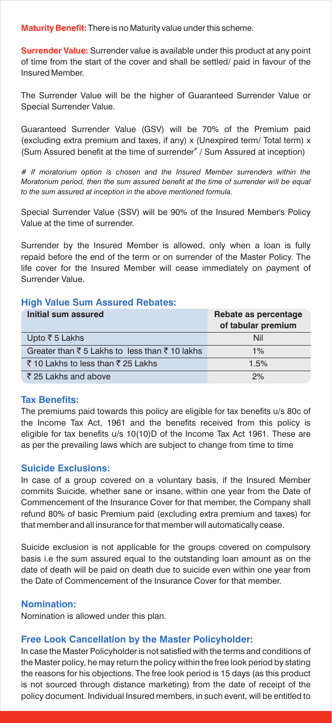**Maturity Benefit:**  There is no Maturity value under this scheme.

**Surrender Value:** Surrender value is available under this product at any point of time from the start of the cover and shall be settled/ paid in favour of the Insured Member.

The Surrender Value will be the higher of Guaranteed Surrender Value or Special Surrender Value.

Guaranteed Surrender Value (GSV) will be 70% of the Premium paid (excluding extra premium and taxes, if any) x (Unexpired term/ Total term) x (Sum Assured benefit at the time of surrender<sup>#</sup> / Sum Assured at inception)

*# If moratorium option is chosen and the Insured Member surrenders within the Moratorium period, then the sum assured benefit at the time of surrender will be equal to the sum assured at inception in the above mentioned formula.*

Special Surrender Value (SSV) will be 90% of the Insured Member's Policy Value at the time of surrender.

Surrender by the Insured Member is allowed, only when a loan is fully repaid before the end of the term or on surrender of the Master Policy. The life cover for the Insured Member will cease immediately on payment of Surrender Value.

#### **High Value Sum Assured Rebates:**

| Initial sum assured                                                          | Rebate as percentage<br>of tabular premium |
|------------------------------------------------------------------------------|--------------------------------------------|
| Upto ₹5 Lakhs                                                                | Nil                                        |
| Greater than $\overline{\xi}$ 5 Lakhs to less than $\overline{\xi}$ 10 lakhs | 1%                                         |
| ₹10 Lakhs to less than ₹25 Lakhs                                             | 1.5%                                       |
| ₹25 Lakhs and above                                                          | 2%                                         |

#### **Tax Benefits:**

The premiums paid towards this policy are eligible for tax benefits u/s 80c of the Income Tax Act, 1961 and the benefits received from this policy is eligible for tax benefits u/s 10(10)D of the Income Tax Act 1961. These are as per the prevailing laws which are subject to change from time to time

#### **Suicide Exclusions:**

In case of a group covered on a voluntary basis, if the Insured Member commits Suicide, whether sane or insane, within one year from the Date of Commencement of the Insurance Cover for that member, the Company shall refund 80% of basic Premium paid (excluding extra premium and taxes) for that member and all insurance for that member will automatically cease.

Suicide exclusion is not applicable for the groups covered on compulsory basis i.e the sum assured equal to the outstanding loan amount as on the date of death will be paid on death due to suicide even within one year from the Date of Commencement of the Insurance Cover for that member.

#### **Nomination:**

Nomination is allowed under this plan.

#### **Free Look Cancellation by the Master Policyholder:**

In case the Master Policyholder is not satisfied with the terms and conditions of the Master policy, he may return the policy within the free look period by stating the reasons for his objections. The free look period is 15 days (as this product is not sourced through distance marketing) from the date of receipt of the policy document. Individual Insured members, in such event, will be entitled to